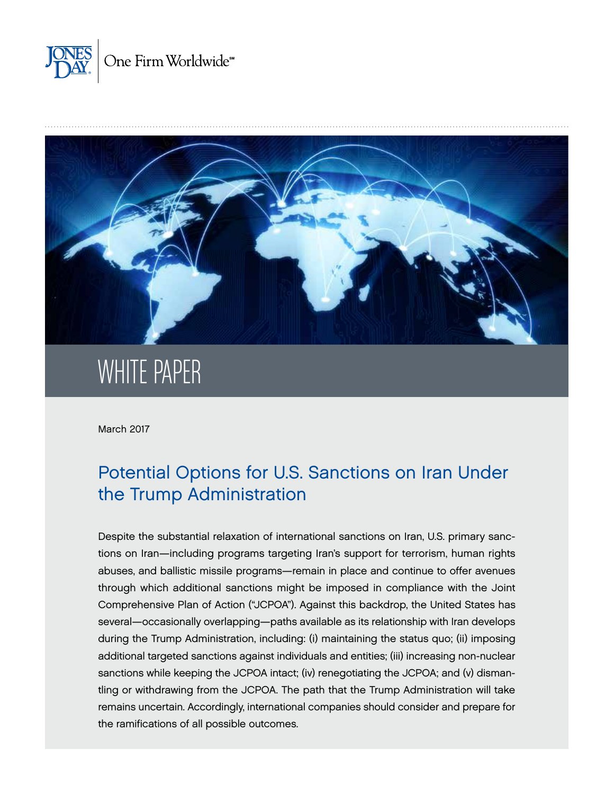



# WHITE PAPER

March 2017

# Potential Options for U.S. Sanctions on Iran Under the Trump Administration

Despite the substantial relaxation of international sanctions on Iran, U.S. primary sanctions on Iran—including programs targeting Iran's support for terrorism, human rights abuses, and ballistic missile programs—remain in place and continue to offer avenues through which additional sanctions might be imposed in compliance with the Joint Comprehensive Plan of Action ("JCPOA"). Against this backdrop, the United States has several—occasionally overlapping—paths available as its relationship with Iran develops during the Trump Administration, including: (i) maintaining the status quo; (ii) imposing additional targeted sanctions against individuals and entities; (iii) increasing non-nuclear sanctions while keeping the JCPOA intact; (iv) renegotiating the JCPOA; and (v) dismantling or withdrawing from the JCPOA. The path that the Trump Administration will take remains uncertain. Accordingly, international companies should consider and prepare for the ramifications of all possible outcomes.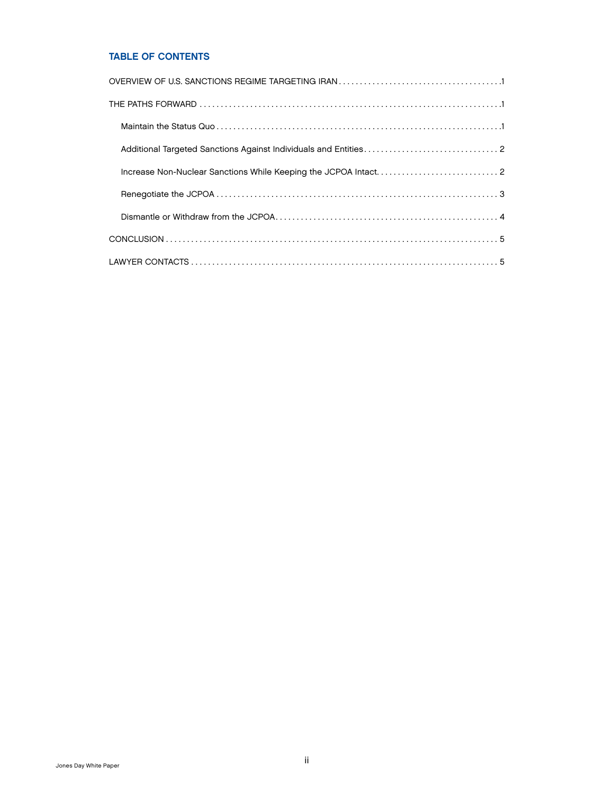# TABLE OF CONTENTS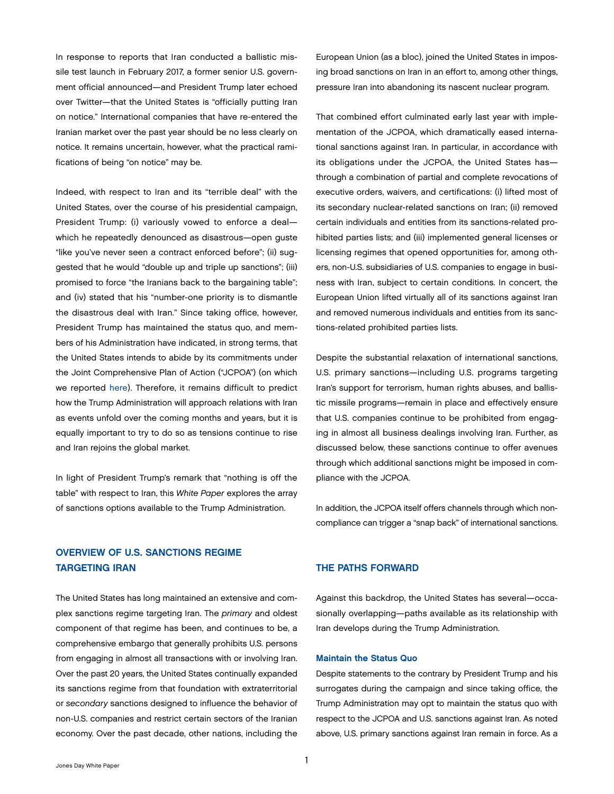<span id="page-2-0"></span>In response to reports that Iran conducted a ballistic missile test launch in February 2017, a former senior U.S. government official announced—and President Trump later echoed over Twitter—that the United States is "officially putting Iran on notice." International companies that have re-entered the Iranian market over the past year should be no less clearly on notice. It remains uncertain, however, what the practical ramifications of being "on notice" may be.

Indeed, with respect to Iran and its "terrible deal" with the United States, over the course of his presidential campaign, President Trump: (i) variously vowed to enforce a deal which he repeatedly denounced as disastrous—open guste "like you've never seen a contract enforced before"; (ii) suggested that he would "double up and triple up sanctions"; (iii) promised to force "the Iranians back to the bargaining table"; and (iv) stated that his "number-one priority is to dismantle the disastrous deal with Iran." Since taking office, however, President Trump has maintained the status quo, and members of his Administration have indicated, in strong terms, that the United States intends to abide by its commitments under the Joint Comprehensive Plan of Action ("JCPOA") (on which we reported [here](http://www.jonesday.com/implementation-day-triggers-significant-changes-to-international-sanctions-against-iran-01-19-2016/)). Therefore, it remains difficult to predict how the Trump Administration will approach relations with Iran as events unfold over the coming months and years, but it is equally important to try to do so as tensions continue to rise and Iran rejoins the global market.

In light of President Trump's remark that "nothing is off the table" with respect to Iran, this *White Paper* explores the array of sanctions options available to the Trump Administration.

# OVERVIEW OF U.S. SANCTIONS REGIME TARGETING IRAN

The United States has long maintained an extensive and complex sanctions regime targeting Iran. The *primary* and oldest component of that regime has been, and continues to be, a comprehensive embargo that generally prohibits U.S. persons from engaging in almost all transactions with or involving Iran. Over the past 20 years, the United States continually expanded its sanctions regime from that foundation with extraterritorial or *secondary* sanctions designed to influence the behavior of non-U.S. companies and restrict certain sectors of the Iranian economy. Over the past decade, other nations, including the

European Union (as a bloc), joined the United States in imposing broad sanctions on Iran in an effort to, among other things, pressure Iran into abandoning its nascent nuclear program.

That combined effort culminated early last year with implementation of the JCPOA, which dramatically eased international sanctions against Iran. In particular, in accordance with its obligations under the JCPOA, the United States has through a combination of partial and complete revocations of executive orders, waivers, and certifications: (i) lifted most of its secondary nuclear-related sanctions on Iran; (ii) removed certain individuals and entities from its sanctions-related prohibited parties lists; and (iii) implemented general licenses or licensing regimes that opened opportunities for, among others, non-U.S. subsidiaries of U.S. companies to engage in business with Iran, subject to certain conditions. In concert, the European Union lifted virtually all of its sanctions against Iran and removed numerous individuals and entities from its sanctions-related prohibited parties lists.

Despite the substantial relaxation of international sanctions, U.S. primary sanctions—including U.S. programs targeting Iran's support for terrorism, human rights abuses, and ballistic missile programs—remain in place and effectively ensure that U.S. companies continue to be prohibited from engaging in almost all business dealings involving Iran. Further, as discussed below, these sanctions continue to offer avenues through which additional sanctions might be imposed in compliance with the JCPOA.

In addition, the JCPOA itself offers channels through which noncompliance can trigger a "snap back" of international sanctions.

#### THE PATHS FORWARD

Against this backdrop, the United States has several—occasionally overlapping—paths available as its relationship with Iran develops during the Trump Administration.

#### Maintain the Status Quo

Despite statements to the contrary by President Trump and his surrogates during the campaign and since taking office, the Trump Administration may opt to maintain the status quo with respect to the JCPOA and U.S. sanctions against Iran. As noted above, U.S. primary sanctions against Iran remain in force. As a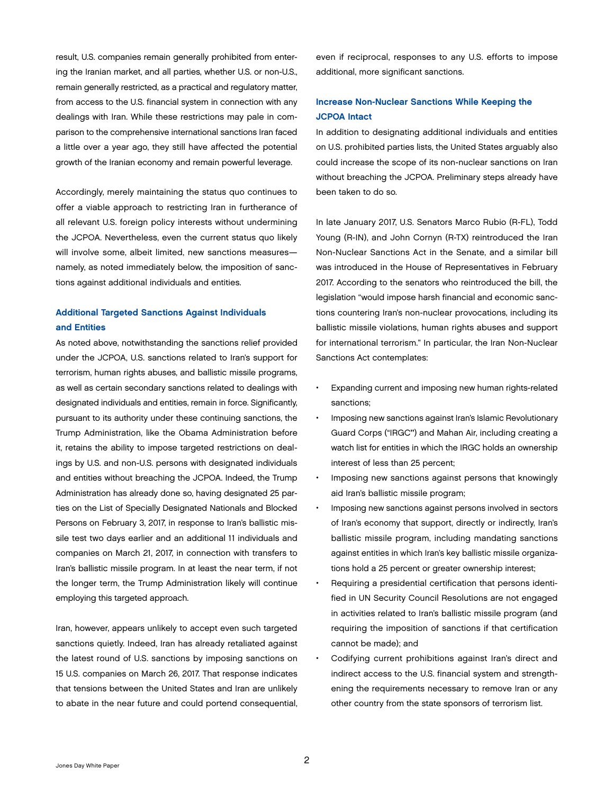<span id="page-3-0"></span>result, U.S. companies remain generally prohibited from entering the Iranian market, and all parties, whether U.S. or non-U.S., remain generally restricted, as a practical and regulatory matter, from access to the U.S. financial system in connection with any dealings with Iran. While these restrictions may pale in comparison to the comprehensive international sanctions Iran faced a little over a year ago, they still have affected the potential growth of the Iranian economy and remain powerful leverage.

Accordingly, merely maintaining the status quo continues to offer a viable approach to restricting Iran in furtherance of all relevant U.S. foreign policy interests without undermining the JCPOA. Nevertheless, even the current status quo likely will involve some, albeit limited, new sanctions measures namely, as noted immediately below, the imposition of sanctions against additional individuals and entities.

# Additional Targeted Sanctions Against Individuals and Entities

As noted above, notwithstanding the sanctions relief provided under the JCPOA, U.S. sanctions related to Iran's support for terrorism, human rights abuses, and ballistic missile programs, as well as certain secondary sanctions related to dealings with designated individuals and entities, remain in force. Significantly, pursuant to its authority under these continuing sanctions, the Trump Administration, like the Obama Administration before it, retains the ability to impose targeted restrictions on dealings by U.S. and non-U.S. persons with designated individuals and entities without breaching the JCPOA. Indeed, the Trump Administration has already done so, having designated 25 parties on the List of Specially Designated Nationals and Blocked Persons on February 3, 2017, in response to Iran's ballistic missile test two days earlier and an additional 11 individuals and companies on March 21, 2017, in connection with transfers to Iran's ballistic missile program. In at least the near term, if not the longer term, the Trump Administration likely will continue employing this targeted approach.

Iran, however, appears unlikely to accept even such targeted sanctions quietly. Indeed, Iran has already retaliated against the latest round of U.S. sanctions by imposing sanctions on 15 U.S. companies on March 26, 2017. That response indicates that tensions between the United States and Iran are unlikely to abate in the near future and could portend consequential,

even if reciprocal, responses to any U.S. efforts to impose additional, more significant sanctions.

# Increase Non-Nuclear Sanctions While Keeping the JCPOA Intact

In addition to designating additional individuals and entities on U.S. prohibited parties lists, the United States arguably also could increase the scope of its non-nuclear sanctions on Iran without breaching the JCPOA. Preliminary steps already have been taken to do so.

In late January 2017, U.S. Senators Marco Rubio (R-FL), Todd Young (R-IN), and John Cornyn (R-TX) reintroduced the Iran Non-Nuclear Sanctions Act in the Senate, and a similar bill was introduced in the House of Representatives in February 2017. According to the senators who reintroduced the bill, the legislation "would impose harsh financial and economic sanctions countering Iran's non-nuclear provocations, including its ballistic missile violations, human rights abuses and support for international terrorism." In particular, the Iran Non-Nuclear Sanctions Act contemplates:

- Expanding current and imposing new human rights-related sanctions;
- Imposing new sanctions against Iran's Islamic Revolutionary Guard Corps ("IRGC") and Mahan Air, including creating a watch list for entities in which the IRGC holds an ownership interest of less than 25 percent;
- Imposing new sanctions against persons that knowingly aid Iran's ballistic missile program;
- Imposing new sanctions against persons involved in sectors of Iran's economy that support, directly or indirectly, Iran's ballistic missile program, including mandating sanctions against entities in which Iran's key ballistic missile organizations hold a 25 percent or greater ownership interest;
- Requiring a presidential certification that persons identified in UN Security Council Resolutions are not engaged in activities related to Iran's ballistic missile program (and requiring the imposition of sanctions if that certification cannot be made); and
- Codifying current prohibitions against Iran's direct and indirect access to the U.S. financial system and strengthening the requirements necessary to remove Iran or any other country from the state sponsors of terrorism list.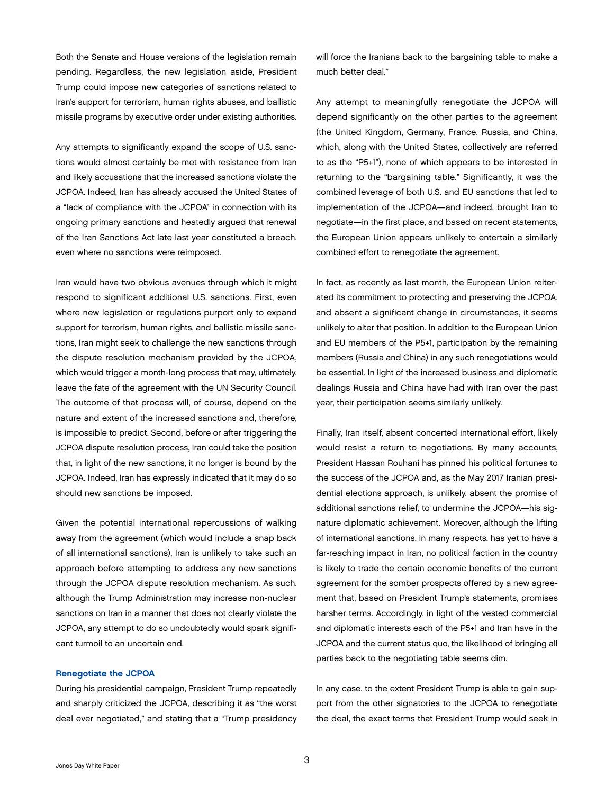<span id="page-4-0"></span>Both the Senate and House versions of the legislation remain pending. Regardless, the new legislation aside, President Trump could impose new categories of sanctions related to Iran's support for terrorism, human rights abuses, and ballistic missile programs by executive order under existing authorities.

Any attempts to significantly expand the scope of U.S. sanctions would almost certainly be met with resistance from Iran and likely accusations that the increased sanctions violate the JCPOA. Indeed, Iran has already accused the United States of a "lack of compliance with the JCPOA" in connection with its ongoing primary sanctions and heatedly argued that renewal of the Iran Sanctions Act late last year constituted a breach, even where no sanctions were reimposed.

Iran would have two obvious avenues through which it might respond to significant additional U.S. sanctions. First, even where new legislation or regulations purport only to expand support for terrorism, human rights, and ballistic missile sanctions, Iran might seek to challenge the new sanctions through the dispute resolution mechanism provided by the JCPOA, which would trigger a month-long process that may, ultimately, leave the fate of the agreement with the UN Security Council. The outcome of that process will, of course, depend on the nature and extent of the increased sanctions and, therefore, is impossible to predict. Second, before or after triggering the JCPOA dispute resolution process, Iran could take the position that, in light of the new sanctions, it no longer is bound by the JCPOA. Indeed, Iran has expressly indicated that it may do so should new sanctions be imposed.

Given the potential international repercussions of walking away from the agreement (which would include a snap back of all international sanctions), Iran is unlikely to take such an approach before attempting to address any new sanctions through the JCPOA dispute resolution mechanism. As such, although the Trump Administration may increase non-nuclear sanctions on Iran in a manner that does not clearly violate the JCPOA, any attempt to do so undoubtedly would spark significant turmoil to an uncertain end.

#### Renegotiate the JCPOA

During his presidential campaign, President Trump repeatedly and sharply criticized the JCPOA, describing it as "the worst deal ever negotiated," and stating that a "Trump presidency will force the Iranians back to the bargaining table to make a much better deal."

Any attempt to meaningfully renegotiate the JCPOA will depend significantly on the other parties to the agreement (the United Kingdom, Germany, France, Russia, and China, which, along with the United States, collectively are referred to as the "P5+1"), none of which appears to be interested in returning to the "bargaining table." Significantly, it was the combined leverage of both U.S. and EU sanctions that led to implementation of the JCPOA—and indeed, brought Iran to negotiate—in the first place, and based on recent statements, the European Union appears unlikely to entertain a similarly combined effort to renegotiate the agreement.

In fact, as recently as last month, the European Union reiterated its commitment to protecting and preserving the JCPOA, and absent a significant change in circumstances, it seems unlikely to alter that position. In addition to the European Union and EU members of the P5+1, participation by the remaining members (Russia and China) in any such renegotiations would be essential. In light of the increased business and diplomatic dealings Russia and China have had with Iran over the past year, their participation seems similarly unlikely.

Finally, Iran itself, absent concerted international effort, likely would resist a return to negotiations. By many accounts, President Hassan Rouhani has pinned his political fortunes to the success of the JCPOA and, as the May 2017 Iranian presidential elections approach, is unlikely, absent the promise of additional sanctions relief, to undermine the JCPOA—his signature diplomatic achievement. Moreover, although the lifting of international sanctions, in many respects, has yet to have a far-reaching impact in Iran, no political faction in the country is likely to trade the certain economic benefits of the current agreement for the somber prospects offered by a new agreement that, based on President Trump's statements, promises harsher terms. Accordingly, in light of the vested commercial and diplomatic interests each of the P5+1 and Iran have in the JCPOA and the current status quo, the likelihood of bringing all parties back to the negotiating table seems dim.

In any case, to the extent President Trump is able to gain support from the other signatories to the JCPOA to renegotiate the deal, the exact terms that President Trump would seek in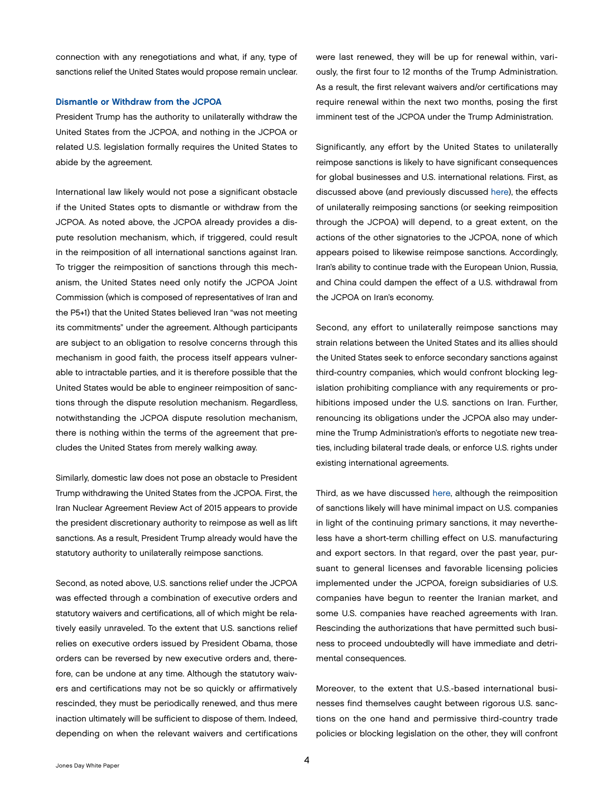<span id="page-5-0"></span>connection with any renegotiations and what, if any, type of sanctions relief the United States would propose remain unclear.

#### Dismantle or Withdraw from the JCPOA

President Trump has the authority to unilaterally withdraw the United States from the JCPOA, and nothing in the JCPOA or related U.S. legislation formally requires the United States to abide by the agreement.

International law likely would not pose a significant obstacle if the United States opts to dismantle or withdraw from the JCPOA. As noted above, the JCPOA already provides a dispute resolution mechanism, which, if triggered, could result in the reimposition of all international sanctions against Iran. To trigger the reimposition of sanctions through this mechanism, the United States need only notify the JCPOA Joint Commission (which is composed of representatives of Iran and the P5+1) that the United States believed Iran "was not meeting its commitments" under the agreement. Although participants are subject to an obligation to resolve concerns through this mechanism in good faith, the process itself appears vulnerable to intractable parties, and it is therefore possible that the United States would be able to engineer reimposition of sanctions through the dispute resolution mechanism. Regardless, notwithstanding the JCPOA dispute resolution mechanism, there is nothing within the terms of the agreement that precludes the United States from merely walking away.

Similarly, domestic law does not pose an obstacle to President Trump withdrawing the United States from the JCPOA. First, the Iran Nuclear Agreement Review Act of 2015 appears to provide the president discretionary authority to reimpose as well as lift sanctions. As a result, President Trump already would have the statutory authority to unilaterally reimpose sanctions.

Second, as noted above, U.S. sanctions relief under the JCPOA was effected through a combination of executive orders and statutory waivers and certifications, all of which might be relatively easily unraveled. To the extent that U.S. sanctions relief relies on executive orders issued by President Obama, those orders can be reversed by new executive orders and, therefore, can be undone at any time. Although the statutory waivers and certifications may not be so quickly or affirmatively rescinded, they must be periodically renewed, and thus mere inaction ultimately will be sufficient to dispose of them. Indeed, depending on when the relevant waivers and certifications

were last renewed, they will be up for renewal within, variously, the first four to 12 months of the Trump Administration. As a result, the first relevant waivers and/or certifications may require renewal within the next two months, posing the first imminent test of the JCPOA under the Trump Administration.

Significantly, any effort by the United States to unilaterally reimpose sanctions is likely to have significant consequences for global businesses and U.S. international relations. First, as discussed above (and previously discussed [here](http://www.jonesday.com/global-issues-under-the-trump-administration-what-the-future-may-hold-for-sanctions-and-export-controls-12-08-2016/)), the effects of unilaterally reimposing sanctions (or seeking reimposition through the JCPOA) will depend, to a great extent, on the actions of the other signatories to the JCPOA, none of which appears poised to likewise reimpose sanctions. Accordingly, Iran's ability to continue trade with the European Union, Russia, and China could dampen the effect of a U.S. withdrawal from the JCPOA on Iran's economy.

Second, any effort to unilaterally reimpose sanctions may strain relations between the United States and its allies should the United States seek to enforce secondary sanctions against third-country companies, which would confront blocking legislation prohibiting compliance with any requirements or prohibitions imposed under the U.S. sanctions on Iran. Further, renouncing its obligations under the JCPOA also may undermine the Trump Administration's efforts to negotiate new treaties, including bilateral trade deals, or enforce U.S. rights under existing international agreements.

Third, as we have discussed [here](http://www.jonesday.com/global-issues-under-the-trump-administration-what-the-future-may-hold-for-sanctions-and-export-controls-12-08-2016/), although the reimposition of sanctions likely will have minimal impact on U.S. companies in light of the continuing primary sanctions, it may nevertheless have a short-term chilling effect on U.S. manufacturing and export sectors. In that regard, over the past year, pursuant to general licenses and favorable licensing policies implemented under the JCPOA, foreign subsidiaries of U.S. companies have begun to reenter the Iranian market, and some U.S. companies have reached agreements with Iran. Rescinding the authorizations that have permitted such business to proceed undoubtedly will have immediate and detrimental consequences.

Moreover, to the extent that U.S.-based international businesses find themselves caught between rigorous U.S. sanctions on the one hand and permissive third-country trade policies or blocking legislation on the other, they will confront